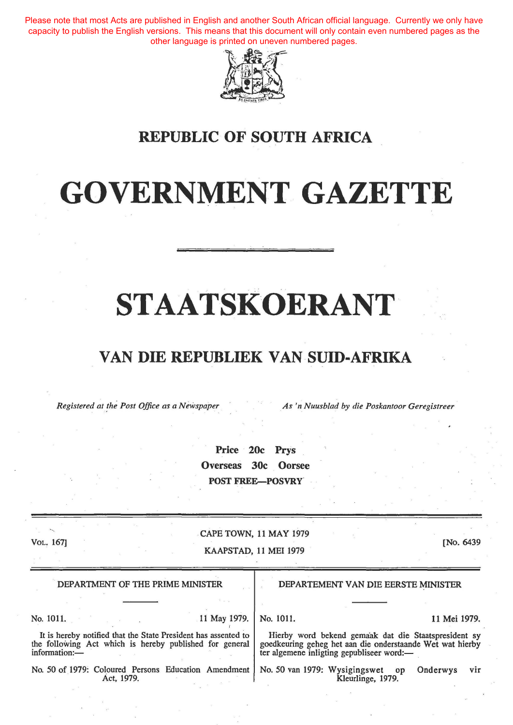Please note that most Acts are published in English and another South African official language. Currently we only have capacity to publish the English versions. This means that this document will only contain even numbered pages as the other language is printed on uneven numbered pages.



### **REPUBLIC OF SOUTH AFRICA**

## **GOVERNMENT GAZETTE**

# **STAATSKOERANT**

### **VAN DIE REPUBLIEK VAN SUID-AFRIKA**

*Registered at the Post Office as a Newspaper As 'n Nuusblad by die Poskantoor Geregistreer* 

Price 20c Prys Overseas 30c Oorsee POST FREE-POSVRY

Vol. 167]

#### CAPE TOWN, 11 MAY 1979

KAAPSTAD, 11 MEl 1979

[No. 6439

| DEPARTMENT OF THE PRIME MINISTER                                                                                                           |              | DEPARTEMENT VAN DIE EERSTE MINISTER                                                                                                                            |                   |  |              |     |
|--------------------------------------------------------------------------------------------------------------------------------------------|--------------|----------------------------------------------------------------------------------------------------------------------------------------------------------------|-------------------|--|--------------|-----|
|                                                                                                                                            |              |                                                                                                                                                                |                   |  |              |     |
| No. 1011.                                                                                                                                  | 11 May 1979. | No. 1011.                                                                                                                                                      |                   |  | 11 Mei 1979. |     |
| It is hereby notified that the State President has assented to<br>the following Act which is hereby published for general<br>information:- |              | Hierby word bekend gemaak dat die Staatspresident sy<br>goedkeuring geheg het aan die onderstaande Wet wat hierby<br>ter algemene inligting gepubliseer word:- |                   |  |              |     |
| No. 50 of 1979: Coloured Persons Education Amendment<br>Act. 1979.                                                                         |              | No. 50 van 1979: Wysigingswet op                                                                                                                               | Kleurlinge, 1979. |  | Onderwys     | vir |